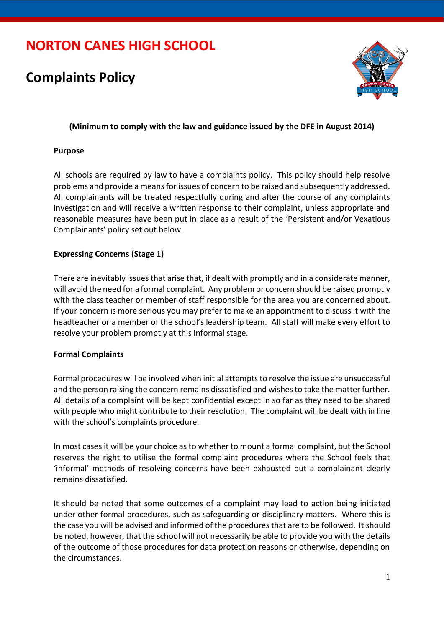# **NORTON CANES HIGH SCHOOL**

## **Complaints Policy**



## **(Minimum to comply with the law and guidance issued by the DFE in August 2014)**

## **Purpose**

All schools are required by law to have a complaints policy. This policy should help resolve problems and provide a means for issues of concern to be raised and subsequently addressed. All complainants will be treated respectfully during and after the course of any complaints investigation and will receive a written response to their complaint, unless appropriate and reasonable measures have been put in place as a result of the 'Persistent and/or Vexatious Complainants' policy set out below.

## **Expressing Concerns (Stage 1)**

There are inevitably issues that arise that, if dealt with promptly and in a considerate manner, will avoid the need for a formal complaint. Any problem or concern should be raised promptly with the class teacher or member of staff responsible for the area you are concerned about. If your concern is more serious you may prefer to make an appointment to discuss it with the headteacher or a member of the school's leadership team. All staff will make every effort to resolve your problem promptly at this informal stage.

#### **Formal Complaints**

Formal procedures will be involved when initial attempts to resolve the issue are unsuccessful and the person raising the concern remains dissatisfied and wishes to take the matter further. All details of a complaint will be kept confidential except in so far as they need to be shared with people who might contribute to their resolution. The complaint will be dealt with in line with the school's complaints procedure.

In most cases it will be your choice as to whether to mount a formal complaint, but the School reserves the right to utilise the formal complaint procedures where the School feels that 'informal' methods of resolving concerns have been exhausted but a complainant clearly remains dissatisfied.

It should be noted that some outcomes of a complaint may lead to action being initiated under other formal procedures, such as safeguarding or disciplinary matters. Where this is the case you will be advised and informed of the procedures that are to be followed. It should be noted, however, that the school will not necessarily be able to provide you with the details of the outcome of those procedures for data protection reasons or otherwise, depending on the circumstances.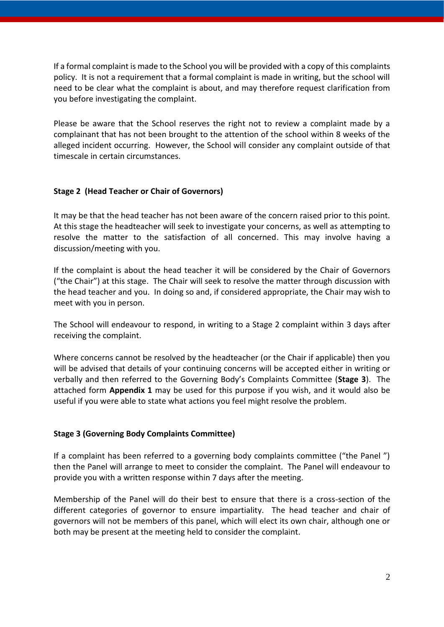If a formal complaint is made to the School you will be provided with a copy of this complaints policy. It is not a requirement that a formal complaint is made in writing, but the school will need to be clear what the complaint is about, and may therefore request clarification from you before investigating the complaint.

Please be aware that the School reserves the right not to review a complaint made by a complainant that has not been brought to the attention of the school within 8 weeks of the alleged incident occurring. However, the School will consider any complaint outside of that timescale in certain circumstances.

## **Stage 2 (Head Teacher or Chair of Governors)**

It may be that the head teacher has not been aware of the concern raised prior to this point. At this stage the headteacher will seek to investigate your concerns, as well as attempting to resolve the matter to the satisfaction of all concerned. This may involve having a discussion/meeting with you.

If the complaint is about the head teacher it will be considered by the Chair of Governors ("the Chair") at this stage. The Chair will seek to resolve the matter through discussion with the head teacher and you. In doing so and, if considered appropriate, the Chair may wish to meet with you in person.

The School will endeavour to respond, in writing to a Stage 2 complaint within 3 days after receiving the complaint.

Where concerns cannot be resolved by the headteacher (or the Chair if applicable) then you will be advised that details of your continuing concerns will be accepted either in writing or verbally and then referred to the Governing Body's Complaints Committee (**Stage 3**). The attached form **Appendix 1** may be used for this purpose if you wish, and it would also be useful if you were able to state what actions you feel might resolve the problem.

#### **Stage 3 (Governing Body Complaints Committee)**

If a complaint has been referred to a governing body complaints committee ("the Panel ") then the Panel will arrange to meet to consider the complaint. The Panel will endeavour to provide you with a written response within 7 days after the meeting.

Membership of the Panel will do their best to ensure that there is a cross-section of the different categories of governor to ensure impartiality. The head teacher and chair of governors will not be members of this panel, which will elect its own chair, although one or both may be present at the meeting held to consider the complaint.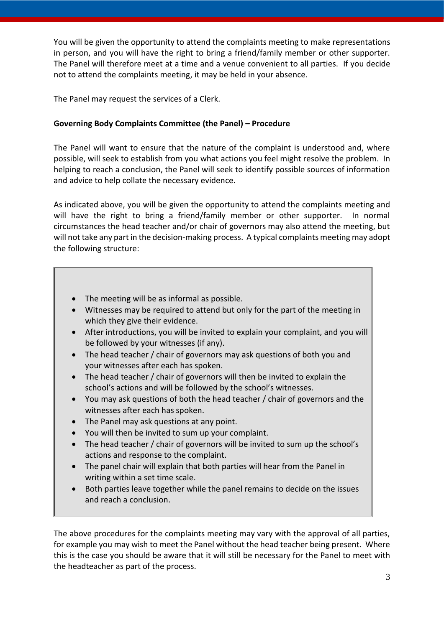You will be given the opportunity to attend the complaints meeting to make representations in person, and you will have the right to bring a friend/family member or other supporter. The Panel will therefore meet at a time and a venue convenient to all parties. If you decide not to attend the complaints meeting, it may be held in your absence.

The Panel may request the services of a Clerk.

## **Governing Body Complaints Committee (the Panel) – Procedure**

The Panel will want to ensure that the nature of the complaint is understood and, where possible, will seek to establish from you what actions you feel might resolve the problem. In helping to reach a conclusion, the Panel will seek to identify possible sources of information and advice to help collate the necessary evidence.

As indicated above, you will be given the opportunity to attend the complaints meeting and will have the right to bring a friend/family member or other supporter. In normal circumstances the head teacher and/or chair of governors may also attend the meeting, but will not take any part in the decision-making process. A typical complaints meeting may adopt the following structure:

- The meeting will be as informal as possible.
- Witnesses may be required to attend but only for the part of the meeting in which they give their evidence.
- After introductions, you will be invited to explain your complaint, and you will be followed by your witnesses (if any).
- The head teacher / chair of governors may ask questions of both you and your witnesses after each has spoken.
- The head teacher / chair of governors will then be invited to explain the school's actions and will be followed by the school's witnesses.
- You may ask questions of both the head teacher / chair of governors and the witnesses after each has spoken.
- The Panel may ask questions at any point.
- You will then be invited to sum up your complaint.
- The head teacher / chair of governors will be invited to sum up the school's actions and response to the complaint.
- The panel chair will explain that both parties will hear from the Panel in writing within a set time scale.
- Both parties leave together while the panel remains to decide on the issues and reach a conclusion.

The above procedures for the complaints meeting may vary with the approval of all parties, for example you may wish to meet the Panel without the head teacher being present. Where this is the case you should be aware that it will still be necessary for the Panel to meet with the headteacher as part of the process.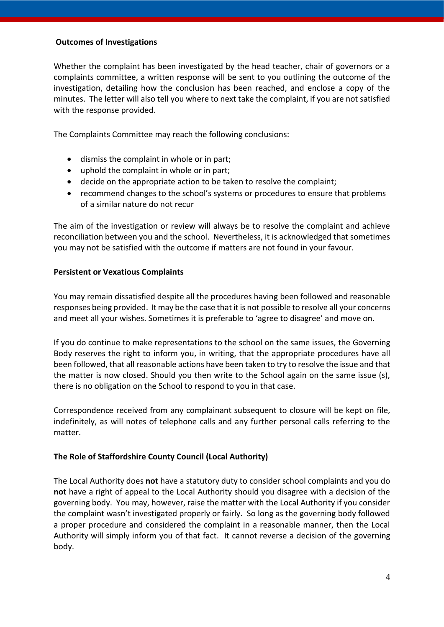#### **Outcomes of Investigations**

Whether the complaint has been investigated by the head teacher, chair of governors or a complaints committee, a written response will be sent to you outlining the outcome of the investigation, detailing how the conclusion has been reached, and enclose a copy of the minutes. The letter will also tell you where to next take the complaint, if you are not satisfied with the response provided.

The Complaints Committee may reach the following conclusions:

- dismiss the complaint in whole or in part;
- uphold the complaint in whole or in part;
- decide on the appropriate action to be taken to resolve the complaint;
- recommend changes to the school's systems or procedures to ensure that problems of a similar nature do not recur

The aim of the investigation or review will always be to resolve the complaint and achieve reconciliation between you and the school. Nevertheless, it is acknowledged that sometimes you may not be satisfied with the outcome if matters are not found in your favour.

#### **Persistent or Vexatious Complaints**

You may remain dissatisfied despite all the procedures having been followed and reasonable responses being provided. It may be the case that it is not possible to resolve all your concerns and meet all your wishes. Sometimes it is preferable to 'agree to disagree' and move on.

If you do continue to make representations to the school on the same issues, the Governing Body reserves the right to inform you, in writing, that the appropriate procedures have all been followed, that all reasonable actions have been taken to try to resolve the issue and that the matter is now closed. Should you then write to the School again on the same issue (s), there is no obligation on the School to respond to you in that case.

Correspondence received from any complainant subsequent to closure will be kept on file, indefinitely, as will notes of telephone calls and any further personal calls referring to the matter.

#### **The Role of Staffordshire County Council (Local Authority)**

The Local Authority does **not** have a statutory duty to consider school complaints and you do **not** have a right of appeal to the Local Authority should you disagree with a decision of the governing body. You may, however, raise the matter with the Local Authority if you consider the complaint wasn't investigated properly or fairly. So long as the governing body followed a proper procedure and considered the complaint in a reasonable manner, then the Local Authority will simply inform you of that fact. It cannot reverse a decision of the governing body.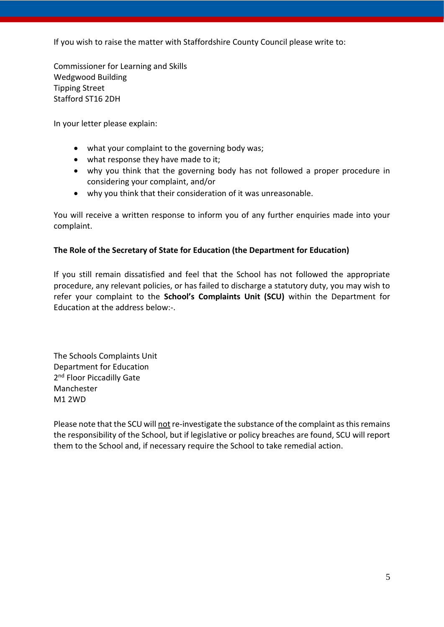If you wish to raise the matter with Staffordshire County Council please write to:

Commissioner for Learning and Skills Wedgwood Building Tipping Street Stafford ST16 2DH

In your letter please explain:

- what your complaint to the governing body was;
- what response they have made to it;
- why you think that the governing body has not followed a proper procedure in considering your complaint, and/or
- why you think that their consideration of it was unreasonable.

You will receive a written response to inform you of any further enquiries made into your complaint.

## **The Role of the Secretary of State for Education (the Department for Education)**

If you still remain dissatisfied and feel that the School has not followed the appropriate procedure, any relevant policies, or has failed to discharge a statutory duty, you may wish to refer your complaint to the **School's Complaints Unit (SCU)** within the Department for Education at the address below:-.

The Schools Complaints Unit Department for Education 2<sup>nd</sup> Floor Piccadilly Gate Manchester M1 2WD

Please note that the SCU will not re-investigate the substance of the complaint as this remains the responsibility of the School, but if legislative or policy breaches are found, SCU will report them to the School and, if necessary require the School to take remedial action.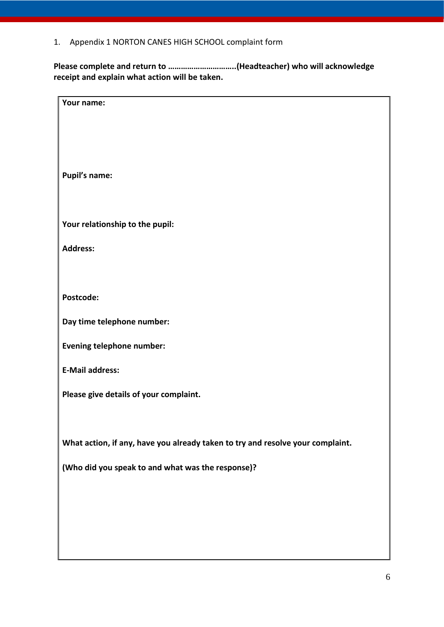1. Appendix 1 NORTON CANES HIGH SCHOOL complaint form

**Please complete and return to …………………………..(Headteacher) who will acknowledge receipt and explain what action will be taken.**

| Your name:                                                                     |
|--------------------------------------------------------------------------------|
|                                                                                |
|                                                                                |
|                                                                                |
|                                                                                |
|                                                                                |
|                                                                                |
|                                                                                |
| <b>Pupil's name:</b>                                                           |
|                                                                                |
|                                                                                |
|                                                                                |
| Your relationship to the pupil:                                                |
|                                                                                |
|                                                                                |
| <b>Address:</b>                                                                |
|                                                                                |
|                                                                                |
|                                                                                |
| Postcode:                                                                      |
|                                                                                |
|                                                                                |
| Day time telephone number:                                                     |
|                                                                                |
| Evening telephone number:                                                      |
|                                                                                |
| <b>E-Mail address:</b>                                                         |
|                                                                                |
|                                                                                |
| Please give details of your complaint.                                         |
|                                                                                |
|                                                                                |
|                                                                                |
| What action, if any, have you already taken to try and resolve your complaint. |
|                                                                                |
|                                                                                |
| (Who did you speak to and what was the response)?                              |
|                                                                                |
|                                                                                |
|                                                                                |
|                                                                                |
|                                                                                |
|                                                                                |
|                                                                                |
|                                                                                |
|                                                                                |